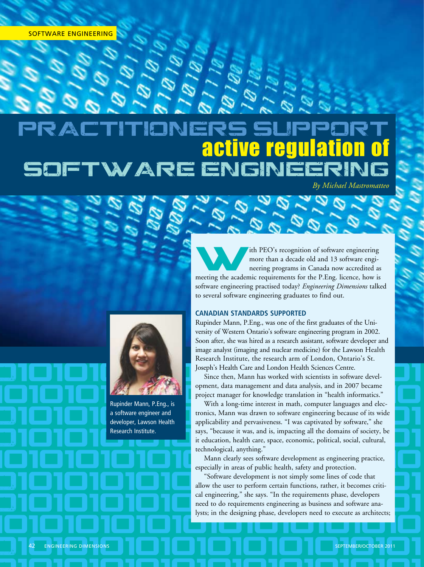## Practitioners support active regulation of VARE

o101010101010101010101

*By Michael Mastromatteo*

The PEO's recognition of software engineering<br>
more than a decade old and 13 software engi-<br>
neering programs in Canada now accredited as more than a decade old and 13 software engimeeting the academic requirements for the P.Eng. licence, how is software engineering practised today? *Engineering Dimensions* talked to several software engineering graduates to find out.

## **Canadian standards supported**

Since then, Mann has worked with sciencists in software devel-Rupinder Mann, P.Eng., was one of the first graduates of the University of Western Ontario's software engineering program in 2002. Soon after, she was hired as a research assistant, software developer and image analyst (imaging and nuclear medicine) for the Lawson Health Research Institute, the research arm of London, Ontario's St. Joseph's Health Care and London Health Sciences Centre.

opment, data management and data analysis, and in 2007 became<br>project manager for knowledge translation in "health informatics."<br>With a long-time interest in math. computer languages and elecproject manager for knowledge translation in "health informatics."

Rupinder Mann, P.Eng., is<br>a software engineer and<br>developer, Lawson Health<br>applicability and pervasiveness. "I was captivated by software," she Research Institute.<br>
The contract of society, because it was, and is, impacting all the domains of society, be<br>
it education, health care, space, economic, political, social, cultural, With a long-time interest in math, computer languages and electronics, Mann was drawn to software engineering because of its wide applicability and pervasiveness. "I was captivated by software," she it education, health care, space, economic, political, social, cultural, technological, anything."

101010101010101010101010 Mann clearly sees software development as engineering practice, especially in areas of public health, safety and protection.

especially in areas or public health, sarety and protection.<br>
Software development is not simply some lines of code that<br>
allow the user to perform certain functions, rather, it becomes critial engineering," she says. "In the requirements phase, developers need to do requirements engineering as business and software analysts; in the designing phase. developers need to execute as architects: <u>Iysts; in the designing phase, developers need to execute as architects;</u> "Software development is not simply some lines of code that cal engineering," she says. "In the requirements phase, developers need to do requirements engineering as business and software analysts; in the designing phase, developers need to execute as architects;



Rupinder Mann, P.Eng., is a software engineer and developer, Lawson Health Research Institute.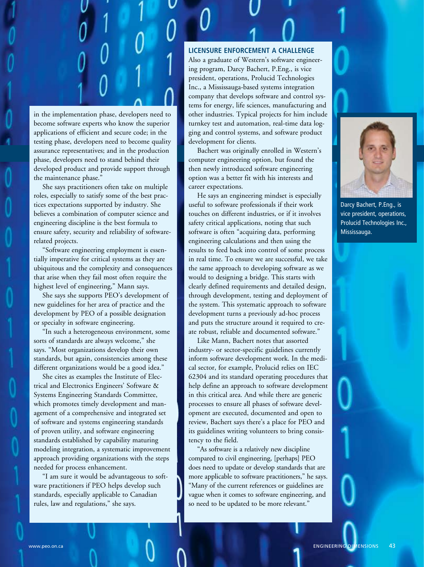

in the implementation phase, developers need to become software experts who know the superior applications of efficient and secure code; in the testing phase, developers need to become quality assurance representatives; and in the production phase, developers need to stand behind their developed product and provide support through the maintenance phase."

She says practitioners often take on multiple roles, especially to satisfy some of the best practices expectations supported by industry. She believes a combination of computer science and engineering discipline is the best formula to ensure safety, security and reliability of softwarerelated projects.

"Software engineering employment is essentially imperative for critical systems as they are ubiquitous and the complexity and consequences that arise when they fail most often require the highest level of engineering," Mann says.

She says she supports PEO's development of new guidelines for her area of practice and the development by PEO of a possible designation or specialty in software engineering.

"In such a heterogeneous environment, some sorts of standards are always welcome," she says. "Most organizations develop their own standards, but again, consistencies among these different organizations would be a good idea."

She cites as examples the Institute of Electrical and Electronics Engineers' Software & Systems Engineering Standards Committee, which promotes timely development and management of a comprehensive and integrated set of software and systems engineering standards of proven utility, and software engineering standards established by capability maturing modeling integration, a systematic improvement approach providing organizations with the steps needed for process enhancement.

"I am sure it would be advantageous to software practitioners if PEO helps develop such standards, especially applicable to Canadian rules, law and regulations," she says.

## **Licensure enforcement a challenge**

Also a graduate of Western's software engineering program, Darcy Bachert, P.Eng., is vice president, operations, Prolucid Technologies Inc., a Mississauga-based systems integration company that develops software and control systems for energy, life sciences, manufacturing and other industries. Typical projects for him include turnkey test and automation, real-time data logging and control systems, and software product development for clients.

Bachert was originally enrolled in Western's computer engineering option, but found the then newly introduced software engineering option was a better fit with his interests and career expectations.

He says an engineering mindset is especially useful to software professionals if their work touches on different industries, or if it involves safety critical applications, noting that such software is often "acquiring data, performing engineering calculations and then using the results to feed back into control of some process in real time. To ensure we are successful, we take the same approach to developing software as we would to designing a bridge. This starts with clearly defined requirements and detailed design, through development, testing and deployment of the system. This systematic approach to software development turns a previously ad-hoc process and puts the structure around it required to create robust, reliable and documented software."

Like Mann, Bachert notes that assorted industry- or sector-specific guidelines currently inform software development work. In the medical sector, for example, Prolucid relies on IEC 62304 and its standard operating procedures that help define an approach to software development in this critical area. And while there are generic processes to ensure all phases of software development are executed, documented and open to review, Bachert says there's a place for PEO and its guidelines writing volunteers to bring consistency to the field.

"As software is a relatively new discipline compared to civil engineering, [perhaps] PEO does need to update or develop standards that are more applicable to software practitioners," he says. "Many of the current references or guidelines are vague when it comes to software engineering, and so need to be updated to be more relevant."



Darcy Bachert, P.Eng., is vice president, operations, Prolucid Technologies Inc., Mississauga.